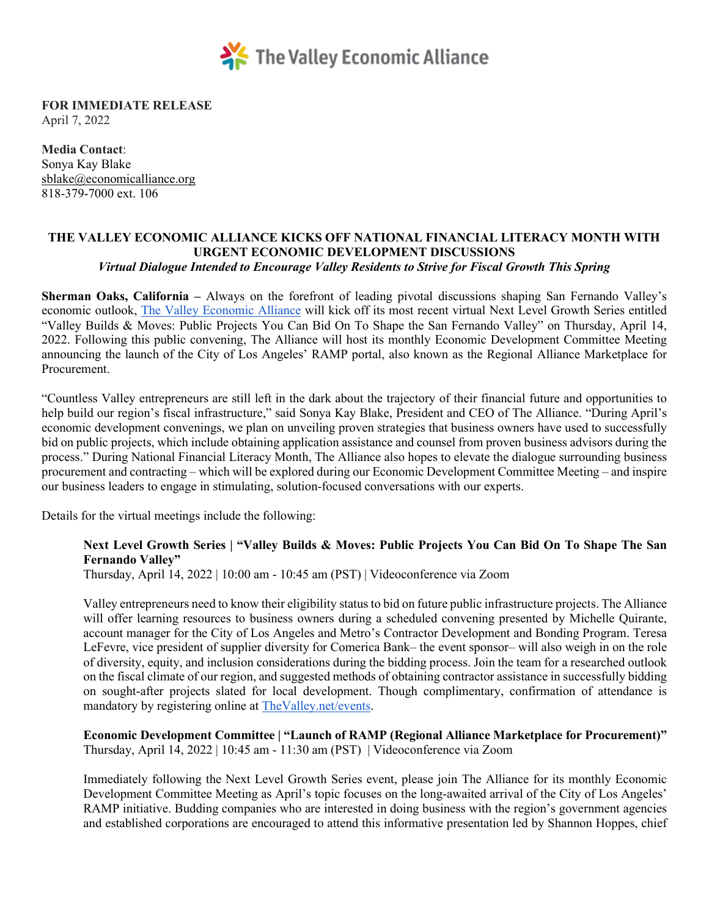

**FOR IMMEDIATE RELEASE** April 7, 2022

**Media Contact**: Sonya Kay Blake [sblake@economicalliance.org](mailto:sblake@economicalliance.org)  818-379-7000 ext. 106

## **THE VALLEY ECONOMIC ALLIANCE KICKS OFF NATIONAL FINANCIAL LITERACY MONTH WITH URGENT ECONOMIC DEVELOPMENT DISCUSSIONS**  *Virtual Dialogue Intended to Encourage Valley Residents to Strive for Fiscal Growth This Spring*

**Sherman Oaks, California –** Always on the forefront of leading pivotal discussions shaping San Fernando Valley's economic outlook, [The Valley Economic Alliance](http://www.thevalley.net/) will kick off its most recent virtual Next Level Growth Series entitled "Valley Builds & Moves: Public Projects You Can Bid On To Shape the San Fernando Valley" on Thursday, April 14, 2022. Following this public convening, The Alliance will host its monthly Economic Development Committee Meeting announcing the launch of the City of Los Angeles' RAMP portal, also known as the Regional Alliance Marketplace for Procurement.

"Countless Valley entrepreneurs are still left in the dark about the trajectory of their financial future and opportunities to help build our region's fiscal infrastructure," said Sonya Kay Blake, President and CEO of The Alliance. "During April's economic development convenings, we plan on unveiling proven strategies that business owners have used to successfully bid on public projects, which include obtaining application assistance and counsel from proven business advisors during the process." During National Financial Literacy Month, The Alliance also hopes to elevate the dialogue surrounding business procurement and contracting – which will be explored during our Economic Development Committee Meeting – and inspire our business leaders to engage in stimulating, solution-focused conversations with our experts.

Details for the virtual meetings include the following:

## **Next Level Growth Series | "Valley Builds & Moves: Public Projects You Can Bid On To Shape The San Fernando Valley"**

Thursday, April 14, 2022 | 10:00 am - 10:45 am (PST) | Videoconference via Zoom

Valley entrepreneurs need to know their eligibility status to bid on future public infrastructure projects. The Alliance will offer learning resources to business owners during a scheduled convening presented by Michelle Quirante, account manager for the City of Los Angeles and Metro's Contractor Development and Bonding Program. Teresa LeFevre, vice president of supplier diversity for Comerica Bank– the event sponsor– will also weigh in on the role of diversity, equity, and inclusion considerations during the bidding process. Join the team for a researched outlook on the fiscal climate of our region, and suggested methods of obtaining contractor assistance in successfully bidding on sought-after projects slated for local development. Though complimentary, confirmation of attendance is mandatory by registering online at [TheValley.net/events.](http://www.thevalley.net/events)

**Economic Development Committee | "Launch of RAMP (Regional Alliance Marketplace for Procurement)"**  Thursday, April 14, 2022 | 10:45 am - 11:30 am (PST) | Videoconference via Zoom

Immediately following the Next Level Growth Series event, please join The Alliance for its monthly Economic Development Committee Meeting as April's topic focuses on the long-awaited arrival of the City of Los Angeles' RAMP initiative. Budding companies who are interested in doing business with the region's government agencies and established corporations are encouraged to attend this informative presentation led by Shannon Hoppes, chief